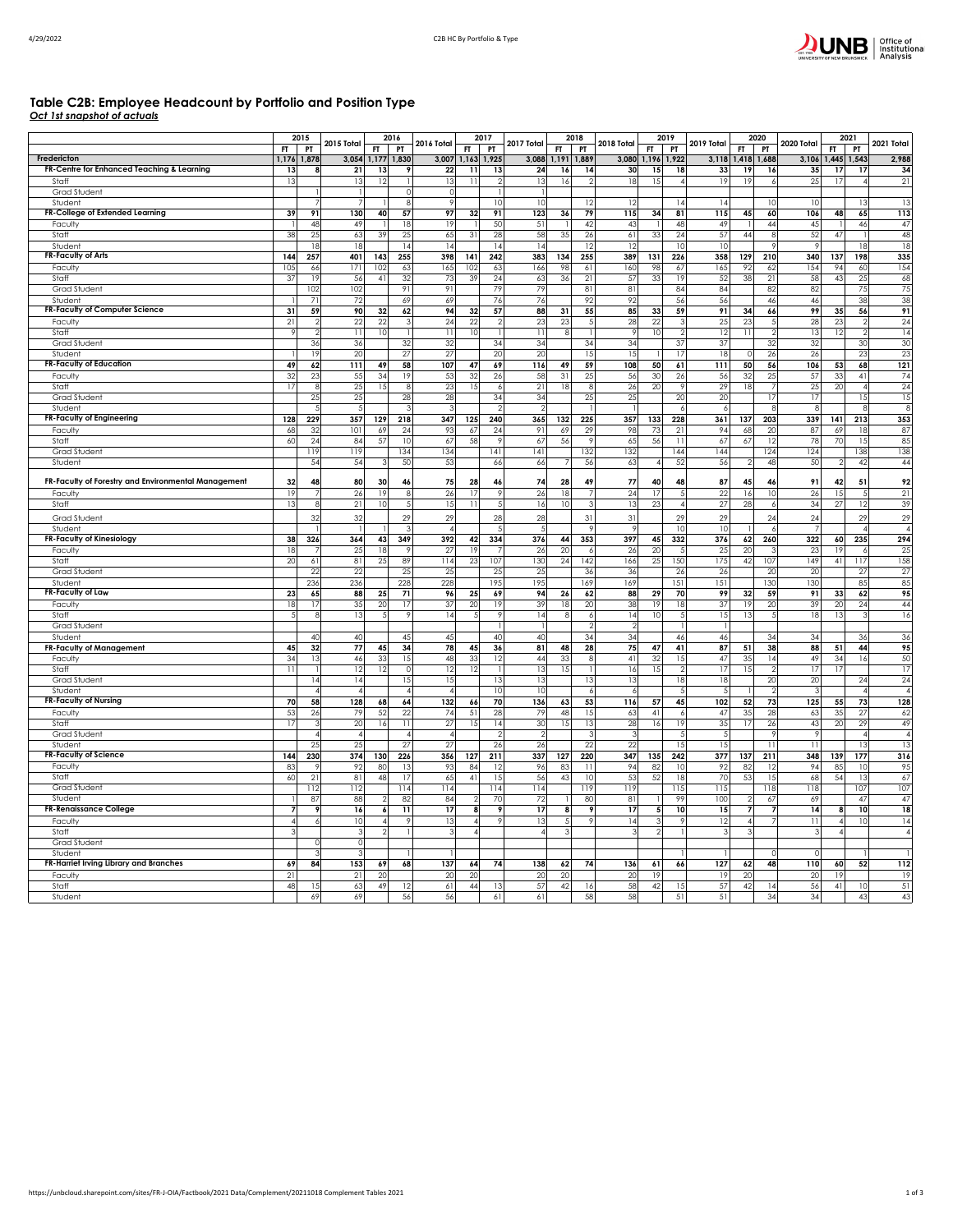

## **Table C2B: Employee Headcount by Portfolio and Position Type** *Oct 1st snapshot of actuals*

|                                                     | 2015<br>$FI$   PT       |                      | 2015 Total            |                   | $\frac{2016}{FT}$ |                        | $-$ 2016 Total $\overline{F \cdot P}$ |                                | $\frac{2018}{FT}$<br>2017 Total |           |                      | 2018 Total        | 2019<br>$FT$ PT                  | 2019 Total           |                | 2020<br>$FT$ $PT$               | 2020 Total      | 2021<br>$FT$ $PT$ |                        | 2021 Total            |
|-----------------------------------------------------|-------------------------|----------------------|-----------------------|-------------------|-------------------|------------------------|---------------------------------------|--------------------------------|---------------------------------|-----------|----------------------|-------------------|----------------------------------|----------------------|----------------|---------------------------------|-----------------|-------------------|------------------------|-----------------------|
| Fredericton                                         | 1,176 1,878             |                      |                       | 3,054 1,177 1,830 |                   |                        |                                       | 3,007 1,163 1,925              | 3,088 1,191 1,889               |           |                      | 3,080 1,196 1,922 |                                  |                      |                | 3,118 1,418 1,688               |                 | 3,106 1,445 1,543 |                        | 2,988                 |
| FR-Centre for Enhanced Teaching & Learning          | 13                      | 8                    | 21                    | 13                | 9                 | 22                     | 11                                    | 13                             | 24                              | 16        | 14                   | 30                | 15<br>18                         | 33                   | 19             | 16                              | 35              | 17                | 17                     | 34                    |
| Staff                                               | 13                      |                      | 13                    | 12                |                   | 13                     | 11                                    | $\mathfrak{D}$                 | 13                              | 16        | $\mathcal{P}$        | 18                | 15                               | 19<br>$\overline{4}$ | 19             | $\boldsymbol{6}$                | 25              | 17                | $\overline{4}$         | 21                    |
| Grad Student                                        |                         | -1                   | $\overline{1}$        |                   | $\Omega$          | $\circ$                |                                       | $\mathbf{1}$                   | $\overline{1}$                  |           |                      |                   |                                  |                      |                |                                 |                 |                   |                        |                       |
| Student                                             |                         | 7                    | 7                     |                   | 8                 | 9                      |                                       | 10                             | 10                              |           | 12                   | 12                | 14                               | 14                   |                | 10                              | 10              |                   | 13                     | 13                    |
| FR-College of Extended Learning                     | 39                      | 91                   | 130                   | 40                | 57                | 97                     | 32                                    | 91                             | 123                             | 36        | 79                   | 115               | 81<br>34                         | 115                  | 45             | 60                              | 106             | 48                | 65                     | 113                   |
| Faculty<br>Staff                                    |                         | 48                   | 49                    |                   | 18                | 19                     |                                       | 50                             | 51                              |           | 42                   | 43                | 48<br>1                          | 49                   | $\mathbf{1}$   | 44                              | 45              |                   | 46                     | 47                    |
| Student                                             | 38                      | 25<br>18             | 63<br>18              | 39                | 25<br>14          | 65<br>14               | 31                                    | 28<br>14                       | 58<br>14                        | 35        | 26<br>12             | 61<br>12          | 33<br>24<br>10                   | 57<br>10             | 44             | 8<br>9.                         | 52<br>$\circ$   | 47                | 18                     | 48<br>18              |
| <b>FR-Faculty of Arts</b>                           | 144                     | 257                  | 401                   | 143               | 255               | 398                    | 141                                   | 242                            | 383                             | 134       | 255                  | 389               | 131<br>226                       | 358                  | 129            | 210                             | 340             | 137               | 198                    | 335                   |
| Faculty                                             | 105                     | 66                   | 171                   | 102               | 63                | 165                    | 102                                   | 63                             | 166                             | 98        | 61                   | 160               | 98<br>67                         | 165                  | 92             | 62                              | 154             | 94                | 60                     | 154                   |
| Staff                                               | 37                      | 19                   | 56                    | 41                | 32                | 73                     | 39                                    | 24                             | 63                              | 36        | 21                   | 57                | 33<br>19                         | 52                   | 38             | 21                              | 58              | 43                | 25                     | 68                    |
| Grad Student                                        |                         | 102                  | 102                   |                   | 91                | 91                     |                                       | 79                             | 79                              |           | 81                   | 81                | 84                               | 84                   |                | 82                              | 82              |                   | 75                     | 75                    |
| Student                                             |                         | 71                   | 72                    |                   | 69                | 69                     |                                       | 76                             | 76                              |           | 92                   | 92                | 56                               | 56                   |                | 46                              | 46              |                   | 38                     | 38                    |
| FR-Faculty of Computer Science                      | 31                      | 59                   | 90                    | 32                | 62                | 94                     | 32                                    | 57                             | 88                              | 31        | 55                   | 85                | 33<br>59                         | 91                   | 34             | 66                              | 99              | 35                | 56                     | 91                    |
| Faculty                                             | 21                      | $\overline{a}$       | 22                    | 22                | 3                 | 24                     | 22                                    | $\overline{2}$<br>$\mathbf{1}$ | 23                              | 23        | 5                    | 28                | 22<br>3                          | 25                   | 23             | 5                               | 28              | 23                | $\overline{2}$         | 24                    |
| Staff                                               | 9                       | $\overline{2}$<br>36 | $\overline{11}$<br>36 | 10                | 32                | 11<br>32               | 10                                    | 34                             | 11<br>34                        | 8         | 34                   | 9<br>34           | 10<br>$\mathfrak{D}$<br>37       | 12<br>37             | 11             | $\overline{2}$<br>32            | 13<br>32        | 12                | $\overline{2}$<br>30   | 14<br>30              |
| Grad Student<br>Student                             |                         | 19                   | 20                    |                   | 27                | 27                     |                                       | 20                             | 20                              |           | 15                   | 15                | 17<br>$\overline{1}$             | 18                   | $\circ$        | 26                              | 26              |                   | 23                     | 23                    |
| <b>FR-Faculty of Education</b>                      | 49                      | 62                   | 111                   | 49                | 58                | 107                    | 47                                    | 69                             | 116                             | 49        | 59                   | 108               | 50<br>61                         | 111                  | 50             | 56                              | 106             | 53                | 68                     | 121                   |
| Faculty                                             | 32                      | 23                   | 55                    | 34                | 19                | 53                     | 32                                    | 26                             | 58                              | 31        | 25                   | 56                | 30<br>26                         | 56                   | 32             | 25                              | 57              | 33                | $4\,$ l                | 74                    |
| Staff                                               | 17                      | 8                    | 25                    | 15                | 8                 | 23                     | 15                                    | 6                              | 21                              | 18        | 8                    | 26                | 20<br>9                          | 29                   | 18             | $\overline{7}$                  | 25              | 20                | $\overline{4}$         | 24                    |
| Grad Student                                        |                         | 25                   | 25                    |                   | 28                | 28                     |                                       | 34                             | 34                              |           | 25                   | 25                | 20                               | 20                   |                | 17                              | 17              |                   | 1.5                    | 15                    |
| Student                                             |                         | 5                    | 5                     |                   | 3                 | 3                      |                                       | $\overline{2}$                 | $\mathcal{P}$                   |           |                      |                   | 6                                | 6                    |                | 8                               | 8               |                   | 8                      | 8                     |
| <b>FR-Faculty of Engineering</b>                    | 128                     | 229                  | 357                   | 129               | 218               | 347                    | 125                                   | 240                            | 365                             | 132       | 225                  | 357               | 133<br>228                       | 361                  | 137            | 203                             | 339             | 141               | 213                    | 353                   |
| Faculty                                             | 68                      | 32                   | 101<br>84             | 69<br>57          | 24<br>10          | 93                     | 67                                    | 24<br>$\overline{9}$           | 91                              | 69        | 29<br>$\overline{9}$ | 98                | 73<br>21<br>$\overline{11}$      | 94                   | 68             | 20                              | 87              | 69                | 18<br>15               | 87                    |
| Staff<br>Grad Student                               | 60                      | 24<br>119            | 119                   |                   | 134               | 67<br>134              | 58                                    | 141                            | 67<br>141                       | 56        | 132                  | 65<br>132         | 56<br>144                        | 67<br>144            | 67             | 12<br>124                       | 78<br>124       | 70                | 138                    | 85<br>138             |
| Student                                             |                         | 54                   | 54                    |                   | 50                | 53                     |                                       | 66                             | 66                              |           | 56                   | 63                | 52<br>$\overline{4}$             | 56                   | $\overline{2}$ | 48                              | 50              |                   | 42                     | 44                    |
|                                                     |                         |                      |                       |                   |                   |                        |                                       |                                |                                 |           |                      |                   |                                  |                      |                |                                 |                 |                   |                        |                       |
| FR-Faculty of Forestry and Environmental Management | 32                      | 48                   | 80                    | 30                | 46                | 75                     | 28                                    | 46                             | 74                              | 28        | 49                   | 77                | 40<br>48                         | 87                   | 45             | 46                              | 91              | 42                | 51                     | 92                    |
| Faculty                                             | 19                      | $\overline{7}$       | 26                    | 19                | 8                 | 26                     | 17                                    | 9                              | 26                              | 18        |                      | 24                | 17                               | 22                   | 16             | 10                              | 26              | 15                |                        | 21                    |
| Staff                                               | 13                      | 8                    | 21                    | 10                |                   | 15                     | 11                                    | 5                              | 16                              | 10        | 3                    | 13                | 23<br>$\overline{4}$             | 27                   | 28             | 6                               | 34              | 27                | 12                     | 39                    |
| Grad Student                                        |                         | 32                   | 32                    |                   | 29                | 29                     |                                       | 28                             | 28                              |           | 31                   | 31                | 29                               | 29                   |                | 24                              | 24              |                   | 29                     | 29                    |
| Student                                             |                         | $\mathbf{1}$         | $\overline{1}$        |                   | -3                | $\overline{4}$         |                                       | 5                              | -5                              |           | -9                   | $\overline{9}$    | 10                               | 10                   | $\mathbf{1}$   | 6                               | $\overline{7}$  |                   | $\boldsymbol{\Lambda}$ | $\overline{4}$        |
| <b>FR-Faculty of Kinesiology</b>                    | 38                      | 326                  | 364                   | 43                | 349               | 392                    | 42                                    | 334                            | 376                             | 44        | 353                  | 397               | 45<br>332                        | 376                  | 62             | 260                             | 322             | 60                | 235                    | 294                   |
| Faculty<br>Staff                                    | 18<br>20                | 61                   | 25<br>81              | 18<br>25          | -S<br>89          | 27<br>114              | 19<br>23                              | 107                            | 26<br>130                       | 20<br>24  | $\epsilon$<br>142    | 26<br>166         | 20<br>25<br>150                  | 25<br>175            | 20<br>42       | 3<br>107                        | 23<br>149       | 19<br>41          | 117                    | 25<br>158             |
| Grad Student                                        |                         | 22                   | 22                    |                   | 25                | 25                     |                                       | 25                             | 25                              |           | 36                   | 36                | 26                               | 26                   |                | 20                              | 20              |                   | 27                     | 27                    |
| Student                                             |                         | 236                  | 236                   |                   | 228               | 228                    |                                       | 195                            | 195                             |           | 169                  | 169               | 151                              | 151                  |                | 130                             | 130             |                   | 85                     | 85                    |
| FR-Faculty of Law                                   | 23                      | 65                   | 88                    | 25                | 71                | 96                     | 25                                    | 69                             | 94                              | 26        | 62                   | 88                | 70<br>29                         | 99                   | 32             | 59                              | 91              | 33                | 62                     | 95                    |
| Faculty                                             | 18                      | 17                   | 35                    | 20                | 17                | 37                     | 20                                    | 19                             | 39                              | 18        | 20                   | 38                | 19<br>18                         | 37                   | 19             | 20                              | 39              | 20                | 24                     | 44                    |
| Staff                                               | 5                       | ø                    | 13                    | 5                 | $\overline{9}$    | 14                     | $\overline{5}$                        | 9                              | 14                              | 8         | 6                    | 14                | 10<br>5                          | 15                   | 13             | 5                               | 18              | 13                | $\mathbf{3}$           | 16                    |
| Grad Student                                        |                         |                      |                       |                   |                   |                        |                                       | $\mathbf{1}$                   | $\overline{1}$                  |           | $\mathcal{P}$        | $\mathcal{L}$     | $\overline{1}$                   | $\mathbf{1}$         |                |                                 |                 |                   |                        |                       |
| Student                                             |                         | 40                   | 40                    |                   | 45                | 45                     |                                       | 40                             | 40                              |           | 34                   | 34                | 46                               | 46                   |                | 34                              | 34              |                   | 36                     | 36                    |
| <b>FR-Faculty of Management</b><br>Faculty          | 45<br>34                | 32<br>13             | 77<br>46              | 45<br>33          | 34<br>15          | 78<br>48               | 45<br>33                              | 36<br>12                       | 81<br>44                        | 48<br>33  | 28<br>8              | 75<br>41          | 41<br>47<br>32<br>15             | 87<br>47             | 51             | 38                              | 88<br>49        | 51<br>34          | 44<br>16               | 95<br>50              |
| Staff                                               | 11                      | $\mathbf{1}$         | 12                    | 12                | $\Omega$          | 12                     | 12                                    | $\mathbf{1}$                   | 13                              | 15        |                      | 16                | 15<br>$\overline{2}$             | 17                   | 35<br>15       | $\frac{1}{4}$<br>$\overline{2}$ | 17              | 17                |                        | 17                    |
| Grad Student                                        |                         | 14                   | 4                     |                   | 15                | 15                     |                                       | 13                             | 13                              |           | 13                   | 13                | 18                               | 18                   |                | 20                              | 20              |                   | 24                     | 24                    |
| Student                                             |                         | $\overline{4}$       | $\overline{4}$        |                   | 4                 | $\overline{4}$         |                                       | 10                             | 10                              |           | -6                   | 6                 | .5                               | .5                   |                |                                 |                 |                   |                        | $\overline{4}$        |
| <b>FR-Faculty of Nursing</b>                        | 70                      | 58                   | 128                   | 68                | 64                | 132                    | 66                                    | 70                             | 136                             | 63        | 53                   | 116               | 45<br>57                         | 102                  | 52             | 73                              | 125             | 55                | 73                     | 128                   |
| Faculty                                             | 53                      | 26                   | 79                    | 52                | 22                | 74                     | 51                                    | 28                             | 79                              | 48        | 15                   | 63                | 41<br>6                          | 47                   | 35             | 28                              | 63              | 35                | 27                     | 62                    |
| Staff                                               | 17                      | 3                    | 20                    | 16                | $\overline{11}$   | 27                     | 15                                    | $\overline{14}$                | 30                              | 15        | 13                   | 28                | 16<br>19                         | 35                   | 17             | 26                              | 43              | 20                | 29                     | 49                    |
| Grad Student                                        |                         | $\Delta$             | $\overline{4}$        |                   | $\overline{4}$    | $\boldsymbol{\Lambda}$ |                                       | $\overline{2}$                 | $\overline{2}$                  |           | 3                    | 3                 | 5                                | 5                    |                | 9                               | $\circ$         |                   | $\boldsymbol{\Lambda}$ | $\overline{4}$        |
| Student<br><b>FR-Faculty of Science</b>             |                         | 25                   | 25                    |                   | 27                | 27                     |                                       | 26                             | 26                              |           | 22                   | 22<br>347         | 15                               | 15                   |                | 11                              | 11              |                   | 13                     | 13<br>316             |
| Faculty                                             | 144<br>83               | 230<br>$\circ$       | 374<br>92             | 130<br>80         | 226<br>13         | 356<br>93              | 127<br>84                             | 211<br>12                      | 337<br>96                       | 127<br>83 | 220<br>11            | 94                | 135<br>242<br>82<br>10           | 377<br>92            | 137<br>82      | 211<br>12                       | 348<br>94       | 139<br>85         | 177<br>10              | 95                    |
| Staff                                               | 60                      | 21                   | 81                    | 48                | 17                | 65                     | 41                                    | 15                             | 56                              | 43        | 10                   | 53                | 52<br>18                         | 70                   | 53             | 15                              | 68              | 54                | 13                     | 67                    |
| Grad Student                                        |                         | 112                  | 112                   |                   | 114               | 114                    |                                       | 114                            | 114                             |           | 119                  | 119               | 115                              | 115                  |                | 118                             | 118             |                   | 107                    | 107                   |
| Student                                             |                         | 87                   | 88                    | $\mathfrak{D}$    | 82                | 84                     |                                       | 70                             | 72                              |           | 80                   | 81                | 99<br>$\mathbf{1}$               | 100                  | $\mathcal{P}$  | 67                              | 69              |                   | 47                     | 47                    |
| <b>FR-Renaissance College</b>                       | $\overline{7}$          | 9                    | 16                    | $\boldsymbol{6}$  | 11                | 17                     | 8                                     | 9                              | 17                              | 8         | 9                    | 17                | 5 <sup>1</sup><br>10             | 15                   | $\overline{7}$ | $\overline{7}$                  | 14              |                   | 10                     | 18                    |
| Faculty                                             | $\overline{4}$          | 6                    | 10                    | $\overline{4}$    | 9                 | 13                     |                                       | 9                              | 13                              | 5         | 9                    | 14                | $\overline{\mathbf{3}}$<br>9     | 12                   | $\overline{4}$ |                                 | 11              |                   | 10                     | 14                    |
| Staff                                               | $\overline{\mathbf{3}}$ |                      | $\overline{3}$        | $\overline{2}$    |                   | 3                      | $\Lambda$                             |                                | $\boldsymbol{\Lambda}$          | 3         |                      |                   | $\overline{2}$<br>$\overline{1}$ | 3                    | ω              |                                 |                 |                   |                        | $\overline{4}$        |
| Grad Student                                        |                         | $\mathsf{O}\xspace$  | $\circ$               |                   |                   |                        |                                       |                                |                                 |           |                      |                   |                                  |                      |                |                                 |                 |                   |                        |                       |
| Student<br>FR-Harriet Irving Library and Branches   | 69                      | 3                    | 3<br>153              |                   |                   | 137                    |                                       | 74                             | 138                             |           | 74                   | 136               |                                  | 127                  |                | 48                              | $\Omega$<br>110 |                   | 52                     | $\overline{1}$<br>112 |
| Faculty                                             | 21                      | 84                   | 21                    | 69<br>20          | 68                | 20                     | 64<br>20                              |                                | 20                              | 62<br>20  |                      | 20                | 66<br>61<br>19                   | 19                   | 62<br>20       |                                 | 20              | 60<br>19          |                        | 19                    |
| Staff                                               | 48                      | 15                   | 63                    | 49                | 12                | 61                     | 44                                    | 13                             | 57                              | 42        | 16                   | 58                | 42<br>15                         | 57                   | 42             | 4                               | 56              | 41                | 10                     | 51                    |
| Student                                             |                         | 69                   | 69                    |                   | 56                | 56                     |                                       | 61                             | 61                              |           | 58                   | 58                | 51                               | 51                   |                | 34                              | 34              |                   | 43                     | 43                    |
|                                                     |                         |                      |                       |                   |                   |                        |                                       |                                |                                 |           |                      |                   |                                  |                      |                |                                 |                 |                   |                        |                       |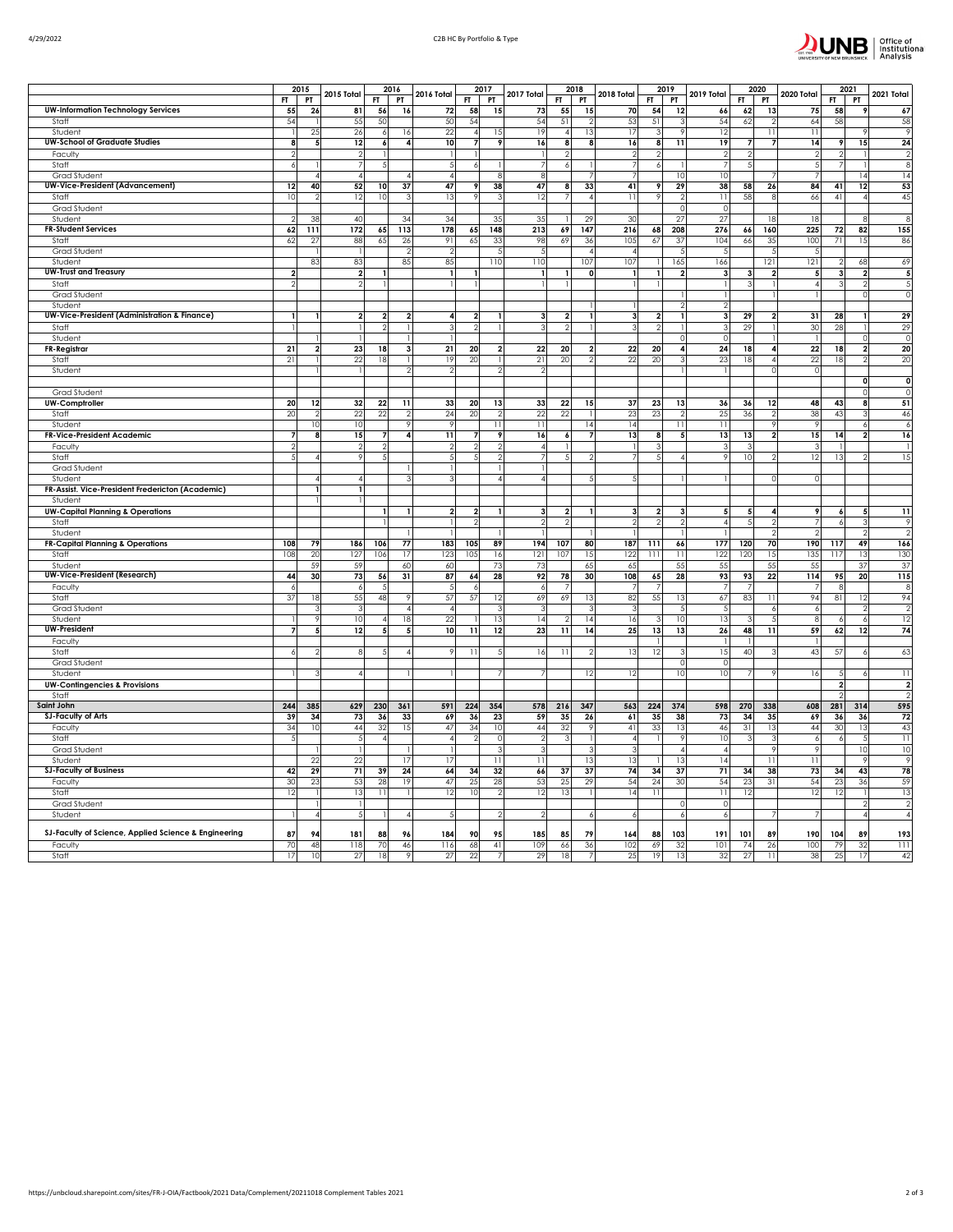

|                                                         |                                           | 2015                | 2015 Total                     | 2016                    |                           | 2016 Total                     | 2017           |                      | 2017 Total           |                              | 2018<br>2018 Total              |                      | 2019               |                                          | 2020<br>2019 Total |                |                                    | 2020 Total          | 2021                    |                                           | 2021 Total              |
|---------------------------------------------------------|-------------------------------------------|---------------------|--------------------------------|-------------------------|---------------------------|--------------------------------|----------------|----------------------|----------------------|------------------------------|---------------------------------|----------------------|--------------------|------------------------------------------|--------------------|----------------|------------------------------------|---------------------|-------------------------|-------------------------------------------|-------------------------|
|                                                         | $\mathsf{FT}$                             | ${\sf PT}$          |                                | ${\sf FT}$              | PT                        |                                | FT.            | PI                   |                      | FT.                          | PI                              |                      | F                  | $_{\rm PT}$                              |                    | FT.            | ${\sf PT}$                         |                     | FT.                     | PI                                        |                         |
| <b>UW-Information Technology Services</b><br>Staff      | 55<br>54                                  | 26                  | 81<br>55                       | 56<br>50                | 16                        | 72<br>50                       | 58<br>54       | 15                   | 73<br>54             | 55                           | 15<br>2                         | 70<br>53             | 54<br>51           | 12<br>3                                  | 66<br>54           | 62<br>62       | 13<br>$\mathcal{P}$                | 75<br>64            | 58<br>58                | $\boldsymbol{Q}$                          | 67<br>58                |
| Student                                                 |                                           | 25                  | 26                             | 6                       | 16                        | 22                             | $\Lambda$      | 15                   | 19                   | 51<br>$\boldsymbol{\Lambda}$ | 13                              | 17                   |                    | $\circ$                                  | 12                 |                | 11                                 | 11                  |                         | 9                                         | $\circ$                 |
| <b>UW-School of Graduate Studies</b>                    | 8                                         | 5                   | 12                             | $\pmb{\epsilon}$        | $\overline{\mathbf{4}}$   | 10                             | $\overline{7}$ | 9                    | 16                   | 8                            | 8                               | 16                   | 8                  | 11                                       | 19                 | 7              | $\overline{7}$                     | 14                  | 9                       | 15                                        | 24                      |
| Faculty                                                 | $\overline{2}$                            |                     | $\overline{2}$                 |                         |                           |                                |                |                      |                      | $\overline{a}$               |                                 | $\overline{2}$       |                    |                                          | $\overline{2}$     | $\overline{2}$ |                                    | $\overline{2}$      | $\overline{2}$          |                                           | $\overline{\mathbf{c}}$ |
| Staff                                                   | 6                                         |                     |                                | 5                       |                           | 5                              | 6              |                      | $\overline{7}$       | 6                            |                                 | 7                    |                    |                                          | 7                  | 5              |                                    | -5                  |                         |                                           | $\overline{8}$          |
| Grad Student                                            |                                           | $\overline{4}$      | 4                              |                         |                           | 4                              |                | 8                    | 8                    |                              |                                 | 7                    |                    | 10                                       | 10                 |                |                                    |                     |                         | 4                                         | 14                      |
| <b>UW-Vice-President (Advancement)</b>                  | 12                                        | 40                  | 52                             | 10 <sup>1</sup>         | 37                        | 47                             | 9              | 38                   | 47                   | 8                            | 33                              | 41                   | $\circ$<br>$\circ$ | 29                                       | 38<br>11           | 58             | 26                                 | 84                  | 41                      | 12                                        | 53<br>45                |
| Staff<br>Grad Student                                   | 10                                        | $\overline{2}$      | 12                             | 10                      |                           | 13                             | 9              |                      | 12                   | 7                            | $\overline{4}$                  | 11                   |                    | $\overline{2}$<br>$\circ$                | $\circ$            | 58             | 8                                  | 66                  | 41                      | 4                                         |                         |
| Student                                                 | $\mathfrak{D}$                            | 38                  | 40                             |                         | 34                        | 34                             |                | 35                   | 35                   |                              | 29                              | 30                   |                    | 27                                       | 27                 |                | 18                                 | 18                  |                         | 8                                         | 8                       |
| <b>FR-Student Services</b>                              | 62                                        | 111                 | 172                            | 65                      | 113                       | 178                            | 65             | 148                  | 213                  | 69                           | 147                             | 216                  | 68                 | 208                                      | 276                | 66             | 160                                | 225                 | 72                      | 82                                        | 155                     |
| Staff                                                   | 62                                        | 27                  | 88                             | 65                      | 26                        | 91                             | 65             | 33                   | 98                   | 69                           | 36                              | 105                  | 67                 | 37                                       | 104                | 66             | 35                                 | 100                 | 71                      | 15                                        | 86                      |
| Grad Student                                            |                                           | $\overline{1}$      | $\overline{1}$                 |                         | $\mathcal{D}$             | -2                             |                |                      | 5                    |                              | $\Delta$                        | $\overline{A}$       |                    | .5                                       | 5                  |                | 5                                  | -5                  |                         |                                           |                         |
| Student<br><b>UW-Trust and Treasury</b>                 |                                           | 83                  | 83                             |                         | 85                        | 85                             |                | 110                  | 110                  |                              | 107                             | 107                  |                    | 165                                      | 166                |                | 121                                | 121                 |                         | 68                                        | 69                      |
| Staff                                                   | $\overline{\mathbf{2}}$<br>$\overline{a}$ |                     | $\mathbf{2}$<br>$\overline{2}$ |                         |                           | 1                              |                |                      | $\mathbf{1}$         | 1<br>$\mathbf{1}$            | 0                               | $\mathbf{1}$         |                    | $\overline{\mathbf{2}}$                  | 3                  | 3<br>3         | $\mathbf{2}$<br>$\mathbf{1}$       | 5<br>$\overline{4}$ | 3<br>S                  | $\overline{\mathbf{2}}$<br>$\overline{2}$ | 5<br>$\sqrt{5}$         |
| Grad Student                                            |                                           |                     |                                |                         |                           |                                |                |                      |                      |                              |                                 |                      |                    |                                          |                    |                |                                    |                     |                         | $\circ$                                   | $\mathbb O$             |
| Student                                                 |                                           |                     |                                |                         |                           |                                |                |                      |                      |                              |                                 |                      |                    |                                          | $\overline{2}$     |                |                                    |                     |                         |                                           |                         |
| <b>UW-Vice-President (Administration &amp; Finance)</b> | -1                                        | 1                   | $\mathbf{2}$                   | $\mathbf{2}$            | 2                         | 4                              | $\mathbf{2}$   |                      | 3                    | $\mathbf{2}$                 | ำ                               | 3                    | 2                  | $\mathbf{1}$                             | 3 <sub>l</sub>     | 29             | $\mathbf{2}$                       | 31                  | 28                      | 1                                         | 29                      |
| Staff                                                   |                                           |                     | $\mathbf{1}$                   | $\overline{2}$          |                           | 3                              | 2              |                      | 3                    | $\overline{2}$               |                                 | 3                    |                    | -1                                       | 3                  | 29             | $\mathbf{1}$                       | 30                  | 28                      | -1.                                       | 29                      |
| Student                                                 |                                           |                     | $\mathbf{1}$                   |                         |                           |                                |                | $\mathbf{c}$         |                      |                              |                                 |                      |                    | $\circ$                                  | $\circ$            |                |                                    |                     |                         | $\circ$                                   | $\circ$                 |
| <b>FR-Registrar</b><br>Staff                            | 21<br>21                                  | $\overline{2}$<br>1 | 23<br>22                       | 18<br>18                | $\overline{\mathbf{3}}$   | 21<br>19                       | 20<br>20       |                      | 22<br>21             | 20<br>20                     | $\overline{2}$<br>$\mathcal{P}$ | 22<br>22             | 20<br>20           | $\overline{\mathbf{4}}$<br>$\mathcal{R}$ | 24<br>23           | 18<br>18       | $\boldsymbol{4}$<br>$\overline{4}$ | 22<br>22            | 18<br>18                | 2 <sub>1</sub><br>$\overline{2}$          | 20<br>$20\,$            |
| Student                                                 |                                           | $\mathbf{1}$        | $\mathbf{1}$                   |                         | $\mathfrak{D}$            | $\mathcal{P}$                  |                | $\mathcal{D}$        | $\overline{2}$       |                              |                                 |                      |                    |                                          |                    |                | $\circ$                            | $\circ$             |                         |                                           |                         |
|                                                         |                                           |                     |                                |                         |                           |                                |                |                      |                      |                              |                                 |                      |                    |                                          |                    |                |                                    |                     |                         | $\mathbf{0}$                              | $\mathbf 0$             |
| Grad Student                                            |                                           |                     |                                |                         |                           |                                |                |                      |                      |                              |                                 |                      |                    |                                          |                    |                |                                    |                     |                         | $\Omega$                                  | $\Omega$                |
| <b>UW-Comptroller</b>                                   | 20                                        | 12                  | 32                             | 22                      | 11                        | 33                             | 20             | 13                   | 33                   | 22                           | 15                              | 37                   | 23                 | 13                                       | 36                 | 36             | 12                                 | 48                  | 43                      | 8                                         | 51                      |
| Staff                                                   | 20                                        | $\mathcal{P}$       | 22                             | 22                      |                           | 24                             | 20             |                      | 22                   | 22                           |                                 | 23                   | 23                 | $\mathcal{P}$                            | 25                 | 36             | $\overline{2}$                     | 38                  | 43                      | 3                                         | $46\,$                  |
| Student                                                 | 7                                         | 10<br>8             | 10<br>15                       | $\overline{7}$          | 9<br>$\blacktriangleleft$ | $\varsigma$<br>$\overline{11}$ | 7              | $\overline{11}$<br>9 | 11                   |                              | 4<br>$\overline{7}$             | 14<br>13             | 8                  | 11                                       | 11<br>13           |                | 9<br>$\overline{2}$                | 9<br>15             |                         | 6                                         | $\boldsymbol{6}$<br>16  |
| FR-Vice-President Academic<br>Faculty                   | 2                                         |                     | 2                              | $\overline{\mathbf{c}}$ |                           | 2                              | 2              | 2                    | 16<br>4              | 6<br>-1                      |                                 |                      |                    | 5                                        | 3                  | 13<br>З        |                                    | -3                  | 14                      | $\overline{2}$                            | -1.                     |
| Staff                                                   | 5                                         | $\overline{4}$      | 9                              | 5                       |                           | 5                              | 5              | っ                    | 7                    | 5                            | $\mathcal{P}$                   | $\overline{7}$       | 5                  | $\Delta$                                 | 9                  | 10             | $\overline{2}$                     | 12                  | 13                      | $\overline{2}$                            | 15                      |
| Grad Student                                            |                                           |                     |                                |                         |                           | $\mathbf{1}$                   |                |                      | $\mathbf{1}$         |                              |                                 |                      |                    |                                          |                    |                |                                    |                     |                         |                                           |                         |
| Student                                                 |                                           | 4                   | $\overline{4}$                 |                         |                           | 3                              |                |                      | $\overline{4}$       |                              |                                 |                      |                    |                                          |                    |                | $\Omega$                           | $\Omega$            |                         |                                           |                         |
| FR-Assist. Vice-President Fredericton (Academic)        |                                           | $\mathbf{1}$        | $\mathbf{1}$                   |                         |                           |                                |                |                      |                      |                              |                                 |                      |                    |                                          |                    |                |                                    |                     |                         |                                           |                         |
| Student                                                 |                                           | $\mathbf{1}$        | $\mathbf{1}$                   | $\mathbf{1}$            |                           | $\overline{2}$                 | $\overline{2}$ |                      | $\mathbf{3}$         | $\overline{\mathbf{2}}$      |                                 | 3                    | 2                  | $\mathbf{3}$                             | 5 <sup>1</sup>     | 5              | 4                                  | 9                   | 6                       | 5                                         | 11                      |
| <b>UW-Capital Planning &amp; Operations</b><br>Staff    |                                           |                     |                                | $\overline{1}$          |                           |                                | $\mathcal{D}$  |                      | $\overline{a}$       | $\mathfrak{D}$               |                                 | $\overline{2}$       | 2                  | $\mathcal{D}$                            | $\overline{4}$     | 5              | $\overline{a}$                     | $\overline{7}$      | 6                       | 3                                         | 9                       |
| Student                                                 |                                           |                     |                                |                         |                           |                                |                |                      |                      |                              |                                 |                      |                    |                                          |                    |                | $\overline{2}$                     |                     |                         |                                           | $\overline{2}$          |
| <b>FR-Capital Planning &amp; Operations</b>             | 108                                       | 79                  | 186                            | 106                     | 77                        | 183                            | 105            | 89                   | 194                  | 107                          | 80                              | 187                  | 111                | 66                                       | 177                | 120            | 70                                 | 190                 | 117                     | 49                                        | 166                     |
| Staff                                                   | 108                                       | 20                  | 127                            | 106                     | 17                        | 123                            | 105            | 16                   | 121                  | 107                          | 15                              | 122                  | 111                | 11                                       | 122                | 120            | 15                                 | 135                 | 117                     | 13                                        | 130                     |
| Student<br><b>UW-Vice-President (Research)</b>          |                                           | 59                  | 59                             |                         | 60                        | 60                             |                | 73                   | 73                   |                              | 65                              | 65                   |                    | 55                                       | 55                 |                | 55                                 | 55                  |                         | 37                                        | 37                      |
| Faculty                                                 | 44                                        | 30                  | 73<br>6                        | 56<br>5                 | 31                        | 87<br>5                        | 64<br>6        | 28                   | 92<br>6              | 78<br>7                      | 30                              | 108<br>-7            | 65<br>2            | 28                                       | 93<br>7            | 93<br>7        | 22                                 | 114                 | 95<br>8                 | 20                                        | 115<br>8                |
| Staff                                                   | 37                                        | 18                  | 55                             | 48                      |                           | 57                             | 57             | 12                   | 69                   | 69                           | 13                              | 82                   | 55                 | 13                                       | 67                 | 83             | 11                                 | 94                  | 81                      | 12                                        | 94                      |
| Grad Student                                            |                                           | 3                   | 3                              |                         |                           | 4                              |                |                      | 3                    |                              | 3                               | 3                    |                    | $\sqrt{5}$                               | 5                  |                | 6                                  |                     |                         | $\mathfrak{D}$                            | $\overline{2}$          |
| Student                                                 |                                           | 9                   | 10                             | $\overline{\mathbf{4}}$ | 18                        | 22                             |                | 13                   | 14                   | $\mathfrak{D}$               | 14                              | 16                   |                    | 10                                       | 13                 | 3              | 5                                  | $\mathcal{B}$       | $\epsilon$              | 6                                         | 12                      |
| <b>UW-President</b>                                     | $\overline{7}$                            | 5 <sup>1</sup>      | 12                             | 5                       | 5                         | 10                             | 11             | 12                   | 23                   | 11                           | 14                              | 25                   | 13                 | 13                                       | 26                 | 48             | 11                                 | 59                  | 62                      | 12                                        | 74                      |
| Faculty                                                 |                                           | $\mathcal{P}$       |                                |                         |                           | $\circ$                        |                |                      |                      |                              |                                 |                      |                    |                                          |                    |                | 3                                  |                     |                         |                                           |                         |
| Staff<br>Grad Student                                   | 6                                         |                     | 8                              | 5                       |                           |                                | 11             |                      | 16                   | 11                           | $\overline{2}$                  | 13                   | 12                 | 3<br>$\Omega$                            | 15<br>$\Omega$     | 40             |                                    | 43                  | 57                      | 6                                         | 63                      |
| Student                                                 |                                           | 3                   | $\overline{4}$                 |                         |                           |                                |                |                      | $\overline{7}$       |                              | 12                              | 12                   |                    | 10                                       | 10                 |                | 9                                  | 16                  | f.                      | 6                                         | 11                      |
| <b>UW-Contingencies &amp; Provisions</b>                |                                           |                     |                                |                         |                           |                                |                |                      |                      |                              |                                 |                      |                    |                                          |                    |                |                                    |                     | $\overline{\mathbf{2}}$ |                                           | $\overline{\mathbf{c}}$ |
| Staff                                                   |                                           |                     |                                |                         |                           |                                |                |                      |                      |                              |                                 |                      |                    |                                          |                    |                |                                    |                     | 2                       |                                           | $\overline{2}$          |
| Saint John                                              | 244                                       | 385                 | 629                            | 230                     | 361                       | 591                            | 224            | 354                  | 578                  | 216                          | 347                             | 563                  | 224                | 374                                      | 598                | 270            | 338                                | 608                 | 281                     | 314                                       | 595                     |
| <b>SJ-Faculty of Arts</b>                               | 39                                        | 34                  | 73<br>44                       | 36                      | 33                        | 69                             | 36             | 23                   | 59                   | 35                           | 26<br>$\circ$                   | 61                   | 35                 | 38                                       | 73                 | 34             | 35                                 | 69                  | 36                      | 36                                        | 72                      |
| Faculty<br>Staff                                        | 34<br>5                                   | 10                  | 5                              | 32<br>$\overline{4}$    | 15                        | 47<br>$\overline{4}$           | 34<br>$\Omega$ | 10<br>$\Omega$       | 44<br>$\overline{a}$ | 32<br>3                      | $\mathbf{1}$                    | 41<br>$\overline{4}$ | 33                 | 13<br>9                                  | 46<br>10           | 31<br>3        | 13<br>$\mathbf{3}$                 | 44<br>6             | 30<br>6                 | 13<br>5                                   | 43<br>11                |
| Grad Student                                            |                                           | $\mathbf{1}$        | $\mathbf{1}$                   |                         |                           | $\mathbf{1}$                   |                |                      | 3                    |                              | 3                               | 3                    |                    | $\overline{4}$                           | $\overline{4}$     |                | 9                                  | 9                   |                         | 10                                        | 10                      |
| Student                                                 |                                           | 22                  | 22                             |                         | 17                        | 17                             |                | 11                   | 11                   |                              | 13                              | 13                   |                    | 13                                       | 14                 |                | 11                                 | $\overline{11}$     |                         | 9                                         | $\overline{9}$          |
| <b>SJ-Faculty of Business</b>                           | 42                                        | 29                  | 71                             | 39                      | 24                        | 64                             | 34             | 32                   | 66                   | 37                           | 37                              | 74                   | 34                 | 37                                       | 71                 | 34             | 38                                 | 73                  | 34                      | 43                                        | 78                      |
| Faculty                                                 | 30                                        | 23                  | 53                             | 28                      | 19                        | 47                             | 25             | 28                   | 53                   | 25                           | 29                              | 54                   | 24                 | 30                                       | 54                 | 23             | 31                                 | 54                  | 23                      | 36                                        | 59                      |
| Staff                                                   | 12                                        | $\mathbf{1}$        | 13                             | 11                      |                           | 12                             | 10             | $\mathcal{D}$        | 12                   | 13                           | $\mathbf{1}$                    | 14                   | $\overline{11}$    | $\circ$                                  | 11                 | 12             |                                    | 12                  | 12                      | $\mathbf{1}$                              | 13                      |
| Grad Student<br>Student                                 |                                           | $\overline{4}$      | $\mathbf{1}$<br>$\sqrt{5}$     |                         |                           | 5                              |                |                      | $\overline{2}$       |                              | 6                               | 6                    |                    | 6                                        | $\circ$<br>6       |                |                                    | 7                   |                         | $\overline{4}$                            | $\frac{2}{4}$           |
|                                                         |                                           |                     |                                |                         |                           |                                |                |                      |                      |                              |                                 |                      |                    |                                          |                    |                |                                    |                     |                         |                                           |                         |
| SJ-Faculty of Science, Applied Science & Engineering    | 87                                        | 94                  | 181                            | 88                      | 96                        | 184                            | 90             | 95                   | 185                  | 85                           | 79                              | 164                  | 88                 | 103                                      | 191                | 101            | 89                                 | 190                 | 104                     | 89                                        | 193                     |
| Faculty                                                 | 70                                        | 48                  | 118                            | 70                      | 46                        | 116                            | 68             | 41                   | 109                  | 66                           | 36                              | 102                  | 69                 | 32                                       | 101                | 74             | 26                                 | 100                 | 79                      | 32                                        | 111                     |
| Staff                                                   | 17                                        | 10                  | 27                             | 18                      | 9                         | 27                             | 22             | $\overline{7}$       | 29                   | 18                           | $\overline{7}$                  | 25                   | 19                 | 13                                       | 32                 | 27             | 11                                 | 38                  | 25                      | 17                                        | 42                      |